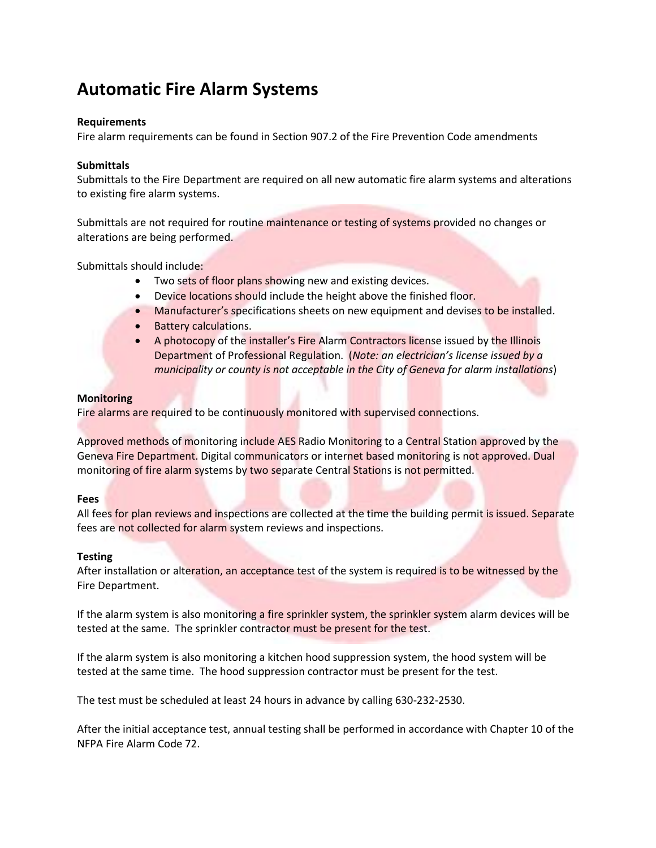# **Automatic Fire Alarm Systems**

# **Requirements**

Fire alarm requirements can be found in Section 907.2 of the Fire Prevention Code amendments

# **Submittals**

Submittals to the Fire Department are required on all new automatic fire alarm systems and alterations to existing fire alarm systems.

Submittals are not required for routine maintenance or testing of systems provided no changes or alterations are being performed.

Submittals should include:

- Two sets of floor plans showing new and existing devices.
- Device locations should include the height above the finished floor.
- Manufacturer's specifications sheets on new equipment and devises to be installed.
- **•** Battery calculations.
- A photocopy of the installer's Fire Alarm Contractors license issued by the Illinois Department of Professional Regulation. (*Note: an electrician's license issued by a municipality or county is not acceptable in the City of Geneva for alarm installations*)

### **Monitoring**

Fire alarms are required to be continuously monitored with supervised connections.

Approved methods of monitoring include AES Radio Monitoring to a Central Station approved by the Geneva Fire Department. Digital communicators or internet based monitoring is not approved. Dual monitoring of fire alarm systems by two separate Central Stations is not permitted.

### **Fees**

All fees for plan reviews and inspections are collected at the time the building permit is issued. Separate fees are not collected for alarm system reviews and inspections.

### **Testing**

After installation or alteration, an acceptance test of the system is required is to be witnessed by the Fire Department.

If the alarm system is also monitoring a fire sprinkler system, the sprinkler system alarm devices will be tested at the same. The sprinkler contractor must be present for the test.

If the alarm system is also monitoring a kitchen hood suppression system, the hood system will be tested at the same time. The hood suppression contractor must be present for the test.

The test must be scheduled at least 24 hours in advance by calling 630-232-2530.

After the initial acceptance test, annual testing shall be performed in accordance with Chapter 10 of the NFPA Fire Alarm Code 72.